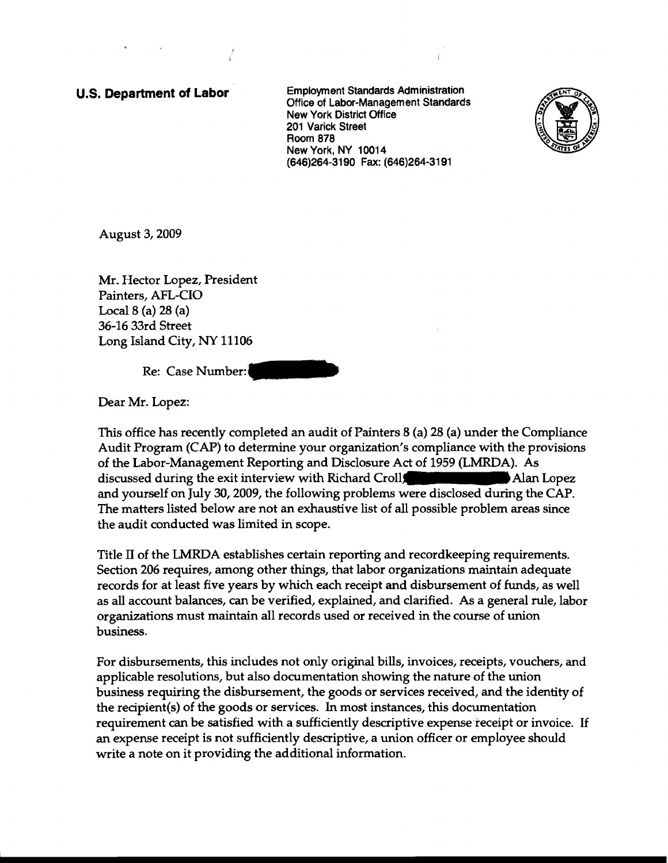## **u.s. Department of Labor**

Employment Standards Administration Office of Labor-Management Standards New York District Office 201 Varick Street Room 878 New York, NY 10014 (646)264-3190 Fax: (646)264-3191



August 3, 2009

Mr. Hector Lopez, President Painters, AFL-CIO Local 8 (a) 28 (a) 36-16 33rd Street Long Island City, NY 11106

Re: Case Number:

Dear Mr. Lopez:

This office has recently completed an audit of Painters 8 (a) 28 (a) under the Compliance Audit Program (CAP) to determine your organization's compliance with the provisions of the Labor-Management Reporting and Disclosure Act of 1959 (LMRDA). As discussed during the exit interview with Richard Croll Alan Lopez and yourself on July 3D, 2009, the following problems were disclosed during the CAP. The matters listed below are not an exhaustive list of all possible problem areas since the audit conducted was limited in scope.

Title II of the LMRDA establishes certain reporting and recordkeeping requirements. Section 206 requires, among other things, that labor organizations maintain adequate records for at least five years by which each receipt and disbursement of funds, as well as all account balances, can be verified, explained, and clarified. As a general rule, labor organizations must maintain all records used or received in the course of union business.

For disbursements, this includes not only original bills, invoices, receipts, vouchers, and applicable resolutions, but also documentation showing the nature of the union business requiring the disbursement, the goods or services received, and the identity of the recipient(s) of the goods or services. In most instances, this documentation requirement can be satisfied with a sufficiently descriptive expense'receipt or invoice. If an expense receipt is not sufficiently descriptive, a union officer or employee should write a note on it providing the additional information.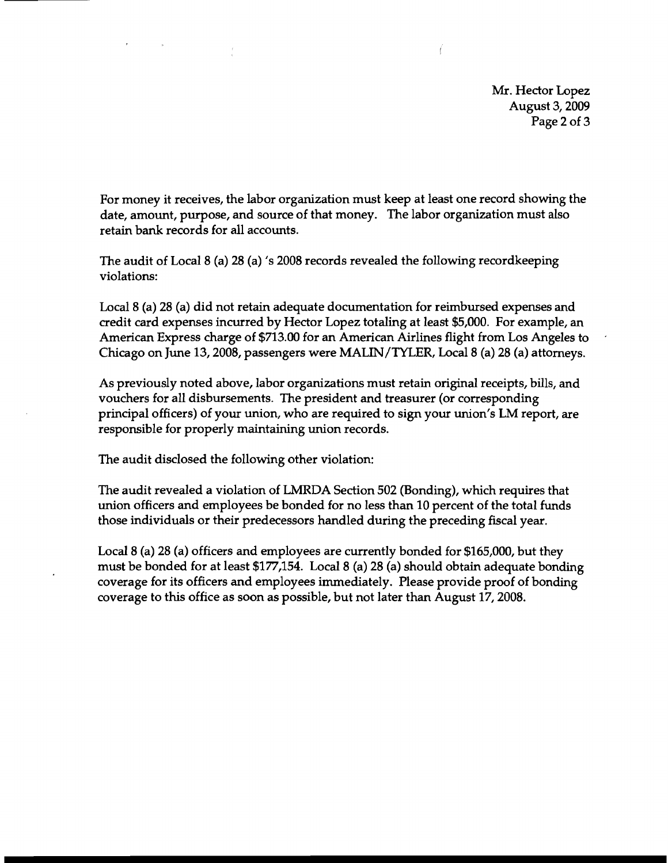Mr. Hector Lopez August 3, 2009 Page 2 of 3

For money it receives, the labor organization must keep at least one record showing the date, amount, purpose, and source of that money. The labor organization must also retain bank records for all accounts.

The audit of Local 8 (a) 28 (a) 's 2008 records revealed the following recordkeeping violations:

Local 8 (a) 28 (a) did not retain adequate documentation for reimbursed expenses and credit card expenses incurred by Hector Lopez totaling at least \$5,000. For example, an American Express charge of \$713.00 for an American Airlines flight from Los Angeles to Chicago on June 13,2008, passengers were MALIN/TYLER, Local 8 (a) 28 (a) attorneys.

As previously noted above, labor organizations must retain original receipts, bills, and vouchers for all disbursements. The president and treasurer (or corresponding principal officers) of your union, who are required to sign your union's LM report, are responsible for properly maintaining union records.

The audit disclosed the following other violation:

The audit revealed a violation of LMRDA Section 502 (Bonding), which requires that union officers and employees be bonded for no less than 10 percent of the total funds those individuals or their predecessors handled during the preceding fiscal year.

Local 8 (a) 28 (a) officers and employees are currently bonded for \$165,000, but they must be bonded for at least \$177,154. Local 8 (a) 28 (a) should obtain adequate bonding coverage for its officers and employees immediately. Please provide proof of bonding coverage to this office as soon as possible, but not later than August 17, 2008.